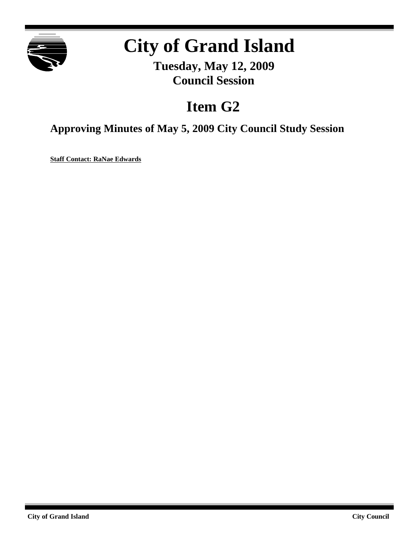

## **City of Grand Island**

**Tuesday, May 12, 2009 Council Session**

## **Item G2**

**Approving Minutes of May 5, 2009 City Council Study Session**

**Staff Contact: RaNae Edwards**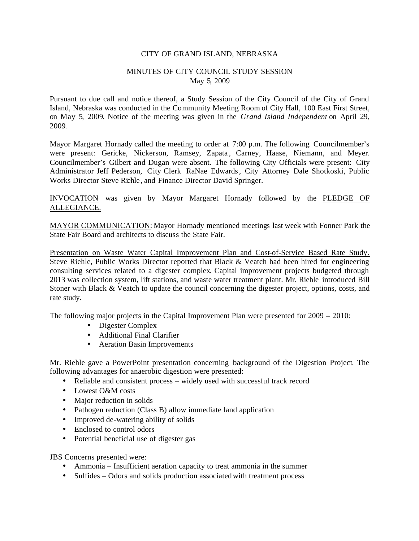## CITY OF GRAND ISLAND, NEBRASKA

## MINUTES OF CITY COUNCIL STUDY SESSION May 5, 2009

Pursuant to due call and notice thereof, a Study Session of the City Council of the City of Grand Island, Nebraska was conducted in the Community Meeting Room of City Hall, 100 East First Street, on May 5, 2009. Notice of the meeting was given in the *Grand Island Independent* on April 29, 2009.

Mayor Margaret Hornady called the meeting to order at 7:00 p.m. The following Councilmember's were present: Gericke, Nickerson, Ramsey, Zapata, Carney, Haase, Niemann, and Meyer. Councilmember's Gilbert and Dugan were absent. The following City Officials were present: City Administrator Jeff Pederson, City Clerk RaNae Edwards, City Attorney Dale Shotkoski, Public Works Director Steve Riehle , and Finance Director David Springer.

INVOCATION was given by Mayor Margaret Hornady followed by the PLEDGE OF ALLEGIANCE.

MAYOR COMMUNICATION: Mayor Hornady mentioned meetings last week with Fonner Park the State Fair Board and architects to discuss the State Fair.

Presentation on Waste Water Capital Improvement Plan and Cost-of-Service Based Rate Study. Steve Riehle, Public Works Director reported that Black & Veatch had been hired for engineering consulting services related to a digester complex. Capital improvement projects budgeted through 2013 was collection system, lift stations, and waste water treatment plant. Mr. Riehle introduced Bill Stoner with Black & Veatch to update the council concerning the digester project, options, costs, and rate study.

The following major projects in the Capital Improvement Plan were presented for 2009 – 2010:

- Digester Complex
- Additional Final Clarifier
- Aeration Basin Improvements

Mr. Riehle gave a PowerPoint presentation concerning background of the Digestion Project. The following advantages for anaerobic digestion were presented:

- Reliable and consistent process widely used with successful track record
- Lowest O&M costs
- Major reduction in solids
- Pathogen reduction (Class B) allow immediate land application
- Improved de-watering ability of solids
- Enclosed to control odors
- Potential beneficial use of digester gas

JBS Concerns presented were:

- Ammonia Insufficient aeration capacity to treat ammonia in the summer
- Sulfides Odors and solids production associated with treatment process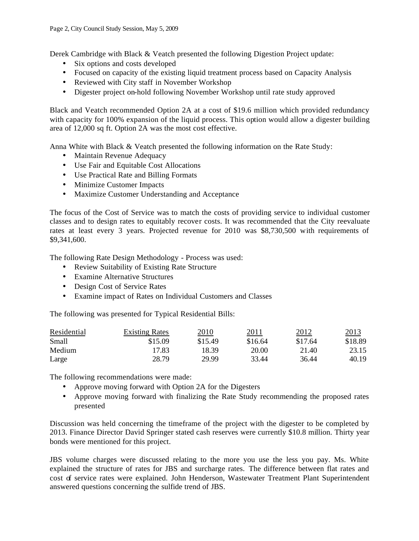Derek Cambridge with Black & Veatch presented the following Digestion Project update:

- Six options and costs developed
- Focused on capacity of the existing liquid treatment process based on Capacity Analysis
- Reviewed with City staff in November Workshop
- Digester project on-hold following November Workshop until rate study approved

Black and Veatch recommended Option 2A at a cost of \$19.6 million which provided redundancy with capacity for 100% expansion of the liquid process. This option would allow a digester building area of 12,000 sq ft. Option 2A was the most cost effective.

Anna White with Black & Veatch presented the following information on the Rate Study:

- Maintain Revenue Adequacy
- Use Fair and Equitable Cost Allocations
- Use Practical Rate and Billing Formats
- Minimize Customer Impacts
- Maximize Customer Understanding and Acceptance

The focus of the Cost of Service was to match the costs of providing service to individual customer classes and to design rates to equitably recover costs. It was recommended that the City reevaluate rates at least every 3 years. Projected revenue for 2010 was \$8,730,500 with requirements of \$9,341,600.

The following Rate Design Methodology - Process was used:

- Review Suitability of Existing Rate Structure
- Examine Alternative Structures
- Design Cost of Service Rates
- Examine impact of Rates on Individual Customers and Classes

The following was presented for Typical Residential Bills:

| Residential | <b>Existing Rates</b> | 2010    | 2011    | 2012    | 2013    |
|-------------|-----------------------|---------|---------|---------|---------|
| Small       | \$15.09               | \$15.49 | \$16.64 | \$17.64 | \$18.89 |
| Medium      | 17.83                 | 18.39   | 20.00   | 21.40   | 23.15   |
| Large       | 28.79                 | 29.99   | 33.44   | 36.44   | 40.19   |

The following recommendations were made:

- Approve moving forward with Option 2A for the Digesters
- Approve moving forward with finalizing the Rate Study recommending the proposed rates presented

Discussion was held concerning the timeframe of the project with the digester to be completed by 2013. Finance Director David Springer stated cash reserves were currently \$10.8 million. Thirty year bonds were mentioned for this project.

JBS volume charges were discussed relating to the more you use the less you pay. Ms. White explained the structure of rates for JBS and surcharge rates. The difference between flat rates and cost of service rates were explained. John Henderson, Wastewater Treatment Plant Superintendent answered questions concerning the sulfide trend of JBS.